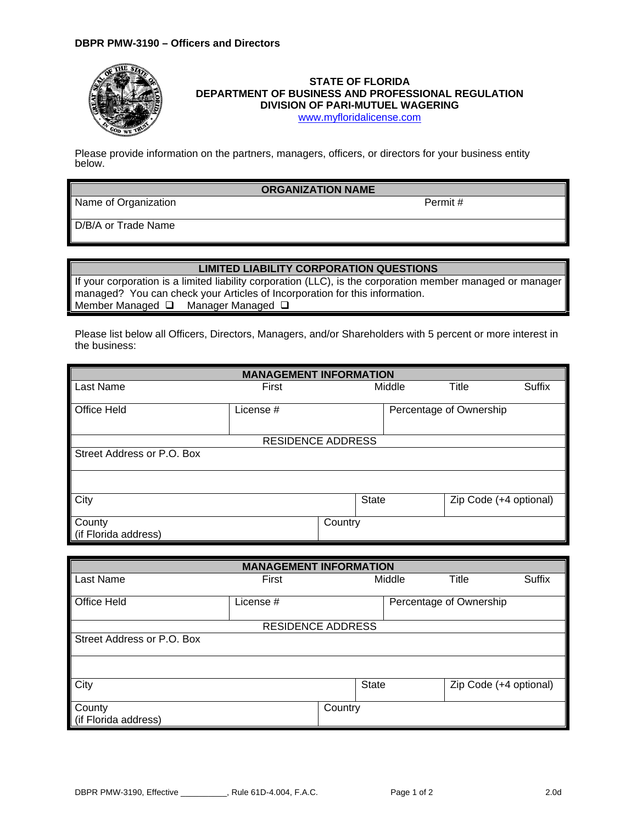

## **STATE OF FLORIDA DEPARTMENT OF BUSINESS AND PROFESSIONAL REGULATION DIVISION OF PARI-MUTUEL WAGERING**

[www.myfloridalicense.com](http://www.myfloridalicense.com/)

Please provide information on the partners, managers, officers, or directors for your business entity below.

## **ORGANIZATION NAME**

Name of Organization **Permit #** 

D/B/A or Trade Name

## **LIMITED LIABILITY CORPORATION QUESTIONS**

If your corporation is a limited liability corporation (LLC), is the corporation member managed or manager managed? You can check your Articles of Incorporation for this information. Member Managed Q Manager Managed Q

Please list below all Officers, Directors, Managers, and/or Shareholders with 5 percent or more interest in the business:

| <b>MANAGEMENT INFORMATION</b> |                          |                         |              |        |                        |               |  |
|-------------------------------|--------------------------|-------------------------|--------------|--------|------------------------|---------------|--|
| Last Name                     | First                    |                         |              | Middle | Title                  | <b>Suffix</b> |  |
|                               |                          |                         |              |        |                        |               |  |
| Office Held                   | License #                | Percentage of Ownership |              |        |                        |               |  |
|                               |                          |                         |              |        |                        |               |  |
|                               | <b>RESIDENCE ADDRESS</b> |                         |              |        |                        |               |  |
| Street Address or P.O. Box    |                          |                         |              |        |                        |               |  |
|                               |                          |                         |              |        |                        |               |  |
| City                          |                          |                         | <b>State</b> |        | Zip Code (+4 optional) |               |  |
| County                        |                          | Country                 |              |        |                        |               |  |
| (if Florida address)          |                          |                         |              |        |                        |               |  |

| <b>MANAGEMENT INFORMATION</b> |                          |         |       |        |                         |               |  |
|-------------------------------|--------------------------|---------|-------|--------|-------------------------|---------------|--|
| Last Name                     | First                    |         |       | Middle | Title                   | <b>Suffix</b> |  |
| Office Held                   | License #                |         |       |        | Percentage of Ownership |               |  |
|                               | <b>RESIDENCE ADDRESS</b> |         |       |        |                         |               |  |
| Street Address or P.O. Box    |                          |         |       |        |                         |               |  |
|                               |                          |         |       |        |                         |               |  |
| City                          |                          |         | State |        | Zip Code (+4 optional)  |               |  |
| County                        |                          | Country |       |        |                         |               |  |
| (if Florida address)          |                          |         |       |        |                         |               |  |